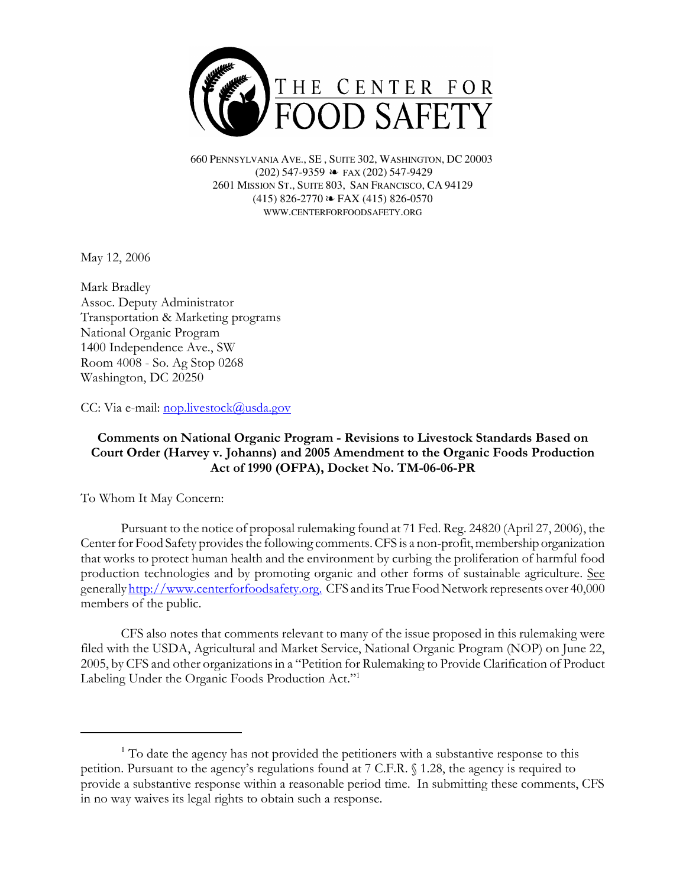

660 PENNSYLVANIA AVE., SE , SUITE 302, WASHINGTON, DC 20003 (202) 547-9359 ≥ FAX (202) 547-9429 2601 MISSION ST., SUITE 803, SAN FRANCISCO, CA 94129  $(415)$  826-2770  $\approx$  FAX (415) 826-0570 WWW.CENTERFORFOODSAFETY.ORG

May 12, 2006

Mark Bradley Assoc. Deputy Administrator Transportation & Marketing programs National Organic Program 1400 Independence Ave., SW Room 4008 - So. Ag Stop 0268 Washington, DC 20250

CC: Via e-mail: nop.livestock@usda.gov

# Comments on National Organic Program - Revisions to Livestock Standards Based on Court Order (Harvey v. Johanns) and 2005 Amendment to the Organic Foods Production Act of 1990 (OFPA), Docket No. TM-06-06-PR

To Whom It May Concern:

Pursuant to the notice of proposal rulemaking found at 71 Fed. Reg. 24820 (April 27, 2006), the Center for Food Safety provides the following comments. CFS is a non-profit, membership organization that works to protect human health and the environment by curbing the proliferation of harmful food production technologies and by promoting organic and other forms of sustainable agriculture. See generally http://www.centerforfoodsafety.org. CFS and its True Food Network represents over 40,000 members of the public.

CFS also notes that comments relevant to many of the issue proposed in this rulemaking were filed with the USDA, Agricultural and Market Service, National Organic Program (NOP) on June 22, 2005, by CFS and other organizations in a "Petition for Rulemaking to Provide Clarification of Product Labeling Under the Organic Foods Production Act."1

<sup>&</sup>lt;sup>1</sup> To date the agency has not provided the petitioners with a substantive response to this petition. Pursuant to the agency's regulations found at 7 C.F.R. § 1.28, the agency is required to provide a substantive response within a reasonable period time. In submitting these comments, CFS in no way waives its legal rights to obtain such a response.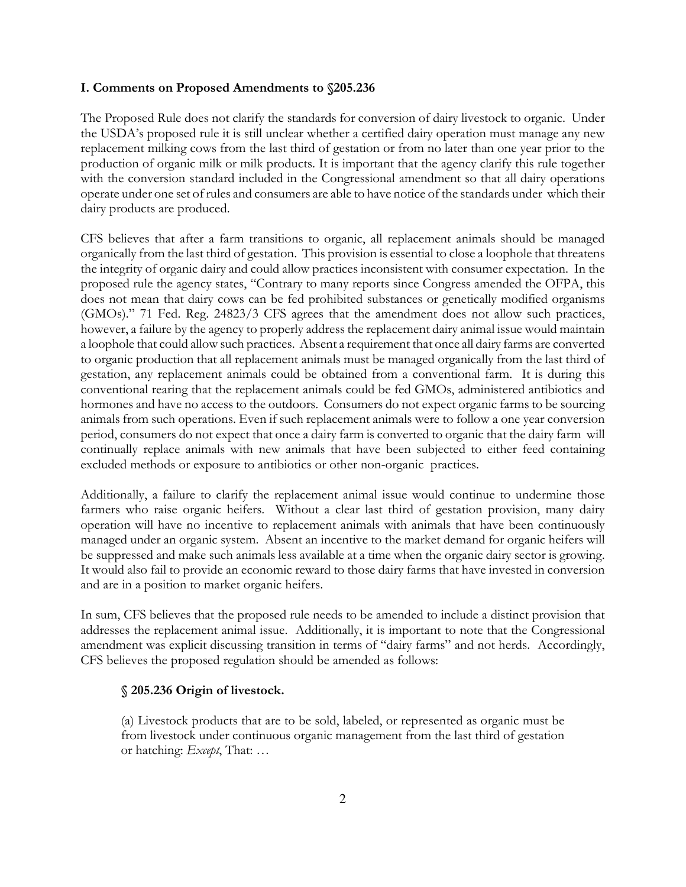## I. Comments on Proposed Amendments to §205.236

The Proposed Rule does not clarify the standards for conversion of dairy livestock to organic. Under the USDA's proposed rule it is still unclear whether a certified dairy operation must manage any new replacement milking cows from the last third of gestation or from no later than one year prior to the production of organic milk or milk products. It is important that the agency clarify this rule together with the conversion standard included in the Congressional amendment so that all dairy operations operate under one set of rules and consumers are able to have notice of the standards under which their dairy products are produced.

CFS believes that after a farm transitions to organic, all replacement animals should be managed organically from the last third of gestation. This provision is essential to close a loophole that threatens the integrity of organic dairy and could allow practices inconsistent with consumer expectation. In the proposed rule the agency states, "Contrary to many reports since Congress amended the OFPA, this does not mean that dairy cows can be fed prohibited substances or genetically modified organisms (GMOs)." 71 Fed. Reg. 24823/3 CFS agrees that the amendment does not allow such practices, however, a failure by the agency to properly address the replacement dairy animal issue would maintain a loophole that could allow such practices. Absent a requirement that once all dairy farms are converted to organic production that all replacement animals must be managed organically from the last third of gestation, any replacement animals could be obtained from a conventional farm. It is during this conventional rearing that the replacement animals could be fed GMOs, administered antibiotics and hormones and have no access to the outdoors. Consumers do not expect organic farms to be sourcing animals from such operations. Even if such replacement animals were to follow a one year conversion period, consumers do not expect that once a dairy farm is converted to organic that the dairy farm will continually replace animals with new animals that have been subjected to either feed containing excluded methods or exposure to antibiotics or other non-organic practices.

Additionally, a failure to clarify the replacement animal issue would continue to undermine those farmers who raise organic heifers. Without a clear last third of gestation provision, many dairy operation will have no incentive to replacement animals with animals that have been continuously managed under an organic system. Absent an incentive to the market demand for organic heifers will be suppressed and make such animals less available at a time when the organic dairy sector is growing. It would also fail to provide an economic reward to those dairy farms that have invested in conversion and are in a position to market organic heifers.

In sum, CFS believes that the proposed rule needs to be amended to include a distinct provision that addresses the replacement animal issue. Additionally, it is important to note that the Congressional amendment was explicit discussing transition in terms of "dairy farms" and not herds. Accordingly, CFS believes the proposed regulation should be amended as follows:

## § 205.236 Origin of livestock.

(a) Livestock products that are to be sold, labeled, or represented as organic must be from livestock under continuous organic management from the last third of gestation or hatching: *Except*, That: ...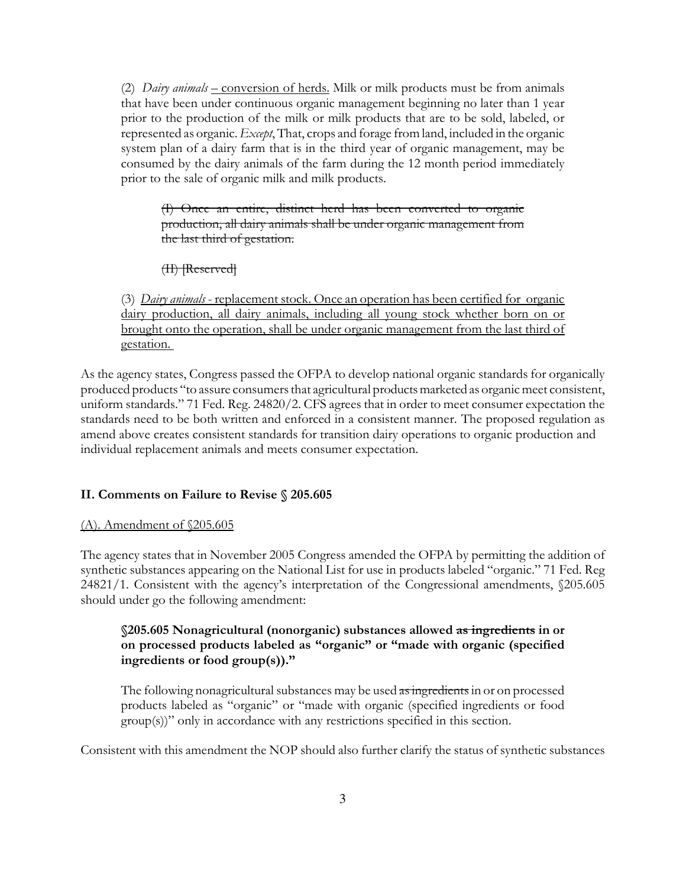(2) Dairy animals – conversion of herds. Milk or milk products must be from animals that have been under continuous organic management beginning no later than 1 year prior to the production of the milk or milk products that are to be sold, labeled, or represented as organic. Except, That, crops and forage from land, included in the organic system plan of a dairy farm that is in the third year of organic management, may be consumed by the dairy animals of the farm during the 12 month period immediately prior to the sale of organic milk and milk products.

(I) Once an entire, distinct herd has been converted to organic production, all dairy animals shall be under organic management from the last third of gestation.

 $(H)$  [Reserved]

(3) Dairy animals - replacement stock. Once an operation has been certified for organic dairy production, all dairy animals, including all young stock whether born on or brought onto the operation, shall be under organic management from the last third of gestation.

As the agency states, Congress passed the OFPA to develop national organic standards for organically produced products "to assure consumers that agricultural products marketed as organic meet consistent, uniform standards." 71 Fed. Reg. 24820/2. CFS agrees that in order to meet consumer expectation the standards need to be both written and enforced in a consistent manner. The proposed regulation as amend above creates consistent standards for transition dairy operations to organic production and individual replacement animals and meets consumer expectation.

## II. Comments on Failure to Revise § 205.605

#### (A). Amendment of §205.605

The agency states that in November 2005 Congress amended the OFPA by permitting the addition of synthetic substances appearing on the National List for use in products labeled "organic." 71 Fed. Reg 24821/1. Consistent with the agency's interpretation of the Congressional amendments, §205.605 should under go the following amendment:

# §205.605 Nonagricultural (nonorganic) substances allowed as ingredients in or on processed products labeled as "organic" or "made with organic (specified ingredients or food group(s))."

The following nonagricultural substances may be used as ingredients in or on processed products labeled as "organic" or "made with organic (specified ingredients or food group(s))" only in accordance with any restrictions specified in this section.

Consistent with this amendment the NOP should also further clarify the status of synthetic substances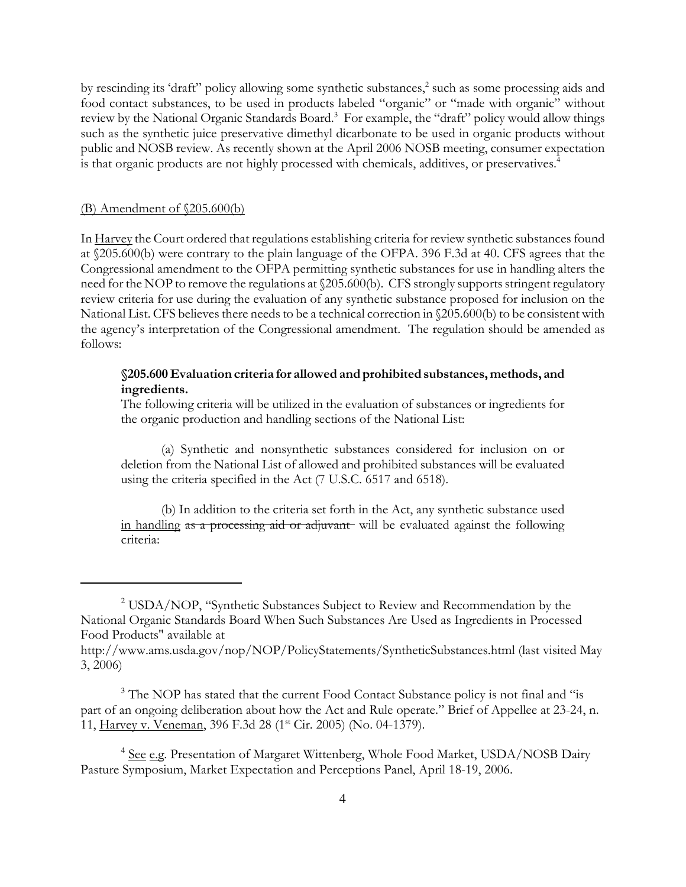by rescinding its 'draft' policy allowing some synthetic substances,<sup>2</sup> such as some processing aids and food contact substances, to be used in products labeled "organic" or "made with organic" without review by the National Organic Standards Board.<sup>3</sup> For example, the "draft" policy would allow things such as the synthetic juice preservative dimethyl dicarbonate to be used in organic products without public and NOSB review. As recently shown at the April 2006 NOSB meeting, consumer expectation is that organic products are not highly processed with chemicals, additives, or preservatives.<sup>4</sup>

#### (B) Amendment of §205.600(b)

In Harvey the Court ordered that regulations establishing criteria for review synthetic substances found at §205.600(b) were contrary to the plain language of the OFPA. 396 F.3d at 40. CFS agrees that the Congressional amendment to the OFPA permitting synthetic substances for use in handling alters the need for the NOP to remove the regulations at §205.600(b). CFS strongly supports stringent regulatory review criteria for use during the evaluation of any synthetic substance proposed for inclusion on the National List. CFS believes there needs to be a technical correction in §205.600(b) to be consistent with the agency's interpretation of the Congressional amendment. The regulation should be amended as follows:

## §205.600 Evaluation criteria for allowed and prohibited substances, methods, and ingredients.

The following criteria will be utilized in the evaluation of substances or ingredients for the organic production and handling sections of the National List:

(a) Synthetic and nonsynthetic substances considered for inclusion on or deletion from the National List of allowed and prohibited substances will be evaluated using the criteria specified in the Act (7 U.S.C. 6517 and 6518).

(b) In addition to the criteria set forth in the Act, any synthetic substance used in handling as a processing aid or adjuvant will be evaluated against the following criteria:

<sup>3</sup> The NOP has stated that the current Food Contact Substance policy is not final and "is part of an ongoing deliberation about how the Act and Rule operate." Brief of Appellee at 23-24, n. 11, Harvey v. Veneman, 396 F.3d 28 (1<sup>st</sup> Cir. 2005) (No. 04-1379).

<sup>&</sup>lt;sup>2</sup> USDA/NOP, "Synthetic Substances Subject to Review and Recommendation by the National Organic Standards Board When Such Substances Are Used as Ingredients in Processed Food Products" available at

http://www.ams.usda.gov/nop/NOP/PolicyStatements/SyntheticSubstances.html (last visited May 3, 2006)

<sup>&</sup>lt;sup>4</sup> See e.g. Presentation of Margaret Wittenberg, Whole Food Market, USDA/NOSB Dairy Pasture Symposium, Market Expectation and Perceptions Panel, April 18-19, 2006.